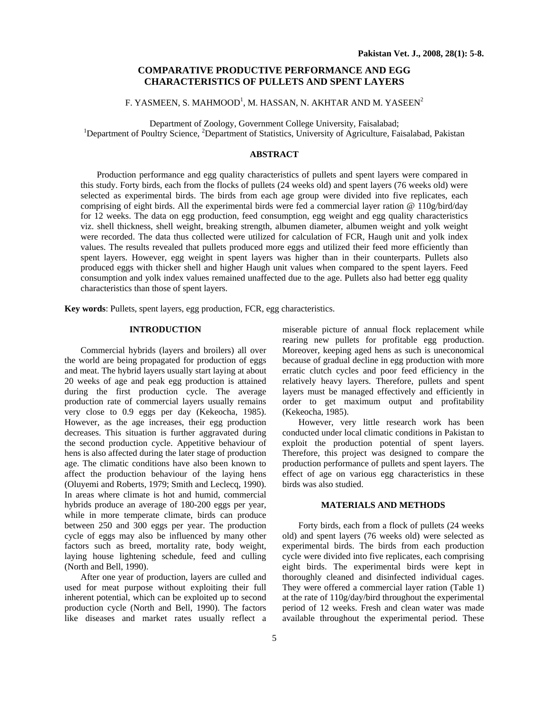## **COMPARATIVE PRODUCTIVE PERFORMANCE AND EGG CHARACTERISTICS OF PULLETS AND SPENT LAYERS**

# F. YASMEEN, S. MAHMOOD $^1$ , M. HASSAN, N. AKHTAR AND M. YASEEN $^2$

Department of Zoology, Government College University, Faisalabad; 1 Department of Poultry Science, <sup>2</sup>Department of Statistics, University of Agriculture, Faisalabad, Pakistan

## **ABSTRACT**

Production performance and egg quality characteristics of pullets and spent layers were compared in this study. Forty birds, each from the flocks of pullets (24 weeks old) and spent layers (76 weeks old) were selected as experimental birds. The birds from each age group were divided into five replicates, each comprising of eight birds. All the experimental birds were fed a commercial layer ration @ 110g/bird/day for 12 weeks. The data on egg production, feed consumption, egg weight and egg quality characteristics viz. shell thickness, shell weight, breaking strength, albumen diameter, albumen weight and yolk weight were recorded. The data thus collected were utilized for calculation of FCR, Haugh unit and yolk index values. The results revealed that pullets produced more eggs and utilized their feed more efficiently than spent layers. However, egg weight in spent layers was higher than in their counterparts. Pullets also produced eggs with thicker shell and higher Haugh unit values when compared to the spent layers. Feed consumption and yolk index values remained unaffected due to the age. Pullets also had better egg quality characteristics than those of spent layers.

**Key words**: Pullets, spent layers, egg production, FCR, egg characteristics.

## **INTRODUCTION**

Commercial hybrids (layers and broilers) all over the world are being propagated for production of eggs and meat. The hybrid layers usually start laying at about 20 weeks of age and peak egg production is attained during the first production cycle. The average production rate of commercial layers usually remains very close to 0.9 eggs per day (Kekeocha, 1985). However, as the age increases, their egg production decreases. This situation is further aggravated during the second production cycle. Appetitive behaviour of hens is also affected during the later stage of production age. The climatic conditions have also been known to affect the production behaviour of the laying hens (Oluyemi and Roberts, 1979; Smith and Leclecq, 1990). In areas where climate is hot and humid, commercial hybrids produce an average of 180-200 eggs per year, while in more temperate climate, birds can produce between 250 and 300 eggs per year. The production cycle of eggs may also be influenced by many other factors such as breed, mortality rate, body weight, laying house lightening schedule, feed and culling (North and Bell, 1990).

After one year of production, layers are culled and used for meat purpose without exploiting their full inherent potential, which can be exploited up to second production cycle (North and Bell, 1990). The factors like diseases and market rates usually reflect a

miserable picture of annual flock replacement while rearing new pullets for profitable egg production. Moreover, keeping aged hens as such is uneconomical because of gradual decline in egg production with more erratic clutch cycles and poor feed efficiency in the relatively heavy layers. Therefore, pullets and spent layers must be managed effectively and efficiently in order to get maximum output and profitability (Kekeocha, 1985).

However, very little research work has been conducted under local climatic conditions in Pakistan to exploit the production potential of spent layers. Therefore, this project was designed to compare the production performance of pullets and spent layers. The effect of age on various egg characteristics in these birds was also studied.

### **MATERIALS AND METHODS**

Forty birds, each from a flock of pullets (24 weeks old) and spent layers (76 weeks old) were selected as experimental birds. The birds from each production cycle were divided into five replicates, each comprising eight birds. The experimental birds were kept in thoroughly cleaned and disinfected individual cages. They were offered a commercial layer ration (Table 1) at the rate of 110g/day/bird throughout the experimental period of 12 weeks. Fresh and clean water was made available throughout the experimental period. These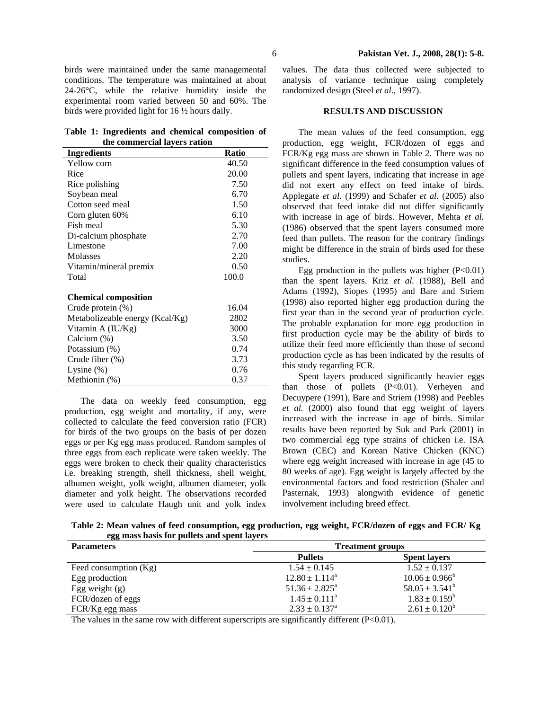birds were maintained under the same managemental conditions. The temperature was maintained at about 24-26°C, while the relative humidity inside the experimental room varied between 50 and 60%. The birds were provided light for 16 ½ hours daily.

**Table 1: Ingredients and chemical composition of the commercial layers ration** 

| Ingredients                     | <b>Ratio</b> |
|---------------------------------|--------------|
| Yellow corn                     | 40.50        |
| Rice                            | 20.00        |
| Rice polishing                  | 7.50         |
| Soybean meal                    | 6.70         |
| Cotton seed meal                | 1.50         |
| Corn gluten 60%                 | 6.10         |
| Fish meal                       | 5.30         |
| Di-calcium phosphate            | 2.70         |
| Limestone                       | 7.00         |
| <b>Molasses</b>                 | 2.20         |
| Vitamin/mineral premix          | 0.50         |
| Total                           | 100.0        |
| <b>Chemical composition</b>     |              |
| Crude protein $(\%)$            | 16.04        |
| Metabolizeable energy (Kcal/Kg) | 2802         |
| Vitamin A $(IU/Kg)$             | 3000         |
| Calcium (%)                     | 3.50         |
| Potassium (%)                   | 0.74         |
| Crude fiber $(\%)$              | 3.73         |
| Lysine $(\%)$                   | 0.76         |
| Methionin (%)                   | 0.37         |

The data on weekly feed consumption, egg production, egg weight and mortality, if any, were collected to calculate the feed conversion ratio (FCR) for birds of the two groups on the basis of per dozen eggs or per Kg egg mass produced. Random samples of three eggs from each replicate were taken weekly. The eggs were broken to check their quality characteristics i.e. breaking strength, shell thickness, shell weight, albumen weight, yolk weight, albumen diameter, yolk diameter and yolk height. The observations recorded were used to calculate Haugh unit and yolk index

values. The data thus collected were subjected to analysis of variance technique using completely randomized design (Steel *et al*., 1997).

### **RESULTS AND DISCUSSION**

The mean values of the feed consumption, egg production, egg weight, FCR/dozen of eggs and FCR/Kg egg mass are shown in Table 2. There was no significant difference in the feed consumption values of pullets and spent layers, indicating that increase in age did not exert any effect on feed intake of birds. Applegate *et al.* (1999) and Schafer *et al.* (2005) also observed that feed intake did not differ significantly with increase in age of birds. However, Mehta *et al.*  (1986) observed that the spent layers consumed more feed than pullets. The reason for the contrary findings might be difference in the strain of birds used for these studies.

Egg production in the pullets was higher  $(P<0.01)$ than the spent layers. Kriz *et al.* (1988), Bell and Adams (1992), Siopes (1995) and Bare and Striem (1998) also reported higher egg production during the first year than in the second year of production cycle. The probable explanation for more egg production in first production cycle may be the ability of birds to utilize their feed more efficiently than those of second production cycle as has been indicated by the results of this study regarding FCR.

Spent layers produced significantly heavier eggs than those of pullets  $(P<0.01)$ . Verheyen and Decuypere (1991), Bare and Striem (1998) and Peebles *et al.* (2000) also found that egg weight of layers increased with the increase in age of birds. Similar results have been reported by Suk and Park (2001) in two commercial egg type strains of chicken i.e. ISA Brown (CEC) and Korean Native Chicken (KNC) where egg weight increased with increase in age (45 to 80 weeks of age). Egg weight is largely affected by the environmental factors and food restriction (Shaler and Pasternak, 1993) alongwith evidence of genetic involvement including breed effect.

**Table 2: Mean values of feed consumption, egg production, egg weight, FCR/dozen of eggs and FCR/ Kg egg mass basis for pullets and spent layers** 

| <b>Parameters</b>       | <b>Treatment groups</b>  |                     |
|-------------------------|--------------------------|---------------------|
|                         | <b>Pullets</b>           | <b>Spent layers</b> |
| Feed consumption $(Kg)$ | $1.54 \pm 0.145$         | $1.52 \pm 0.137$    |
| Egg production          | $12.80 \pm 1.114^a$      | $10.06 \pm 0.966^b$ |
| Egg weight $(g)$        | $51.36 \pm 2.825^a$      | $58.05 \pm 3.541^b$ |
| FCR/dozen of eggs       | $1.45 \pm 0.111^a$       | $1.83 \pm 0.159^b$  |
| FCR/Kg egg mass         | $2.33 \pm 0.137^{\circ}$ | $2.61 \pm 0.120^b$  |

The values in the same row with different superscripts are significantly different  $(P<0.01)$ .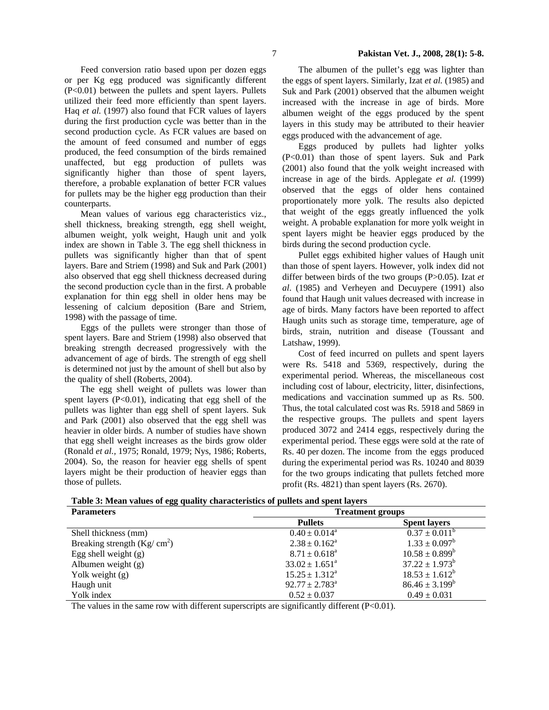Feed conversion ratio based upon per dozen eggs or per Kg egg produced was significantly different (P<0.01) between the pullets and spent layers. Pullets utilized their feed more efficiently than spent layers. Haq *et al.* (1997) also found that FCR values of layers during the first production cycle was better than in the second production cycle. As FCR values are based on the amount of feed consumed and number of eggs produced, the feed consumption of the birds remained unaffected, but egg production of pullets was significantly higher than those of spent layers, therefore, a probable explanation of better FCR values for pullets may be the higher egg production than their counterparts.

Mean values of various egg characteristics viz., shell thickness, breaking strength, egg shell weight, albumen weight, yolk weight, Haugh unit and yolk index are shown in Table 3. The egg shell thickness in pullets was significantly higher than that of spent layers. Bare and Striem (1998) and Suk and Park (2001) also observed that egg shell thickness decreased during the second production cycle than in the first. A probable explanation for thin egg shell in older hens may be lessening of calcium deposition (Bare and Striem, 1998) with the passage of time.

Eggs of the pullets were stronger than those of spent layers. Bare and Striem (1998) also observed that breaking strength decreased progressively with the advancement of age of birds. The strength of egg shell is determined not just by the amount of shell but also by the quality of shell (Roberts, 2004).

The egg shell weight of pullets was lower than spent layers (P<0.01), indicating that egg shell of the pullets was lighter than egg shell of spent layers. Suk and Park (2001) also observed that the egg shell was heavier in older birds. A number of studies have shown that egg shell weight increases as the birds grow older (Ronald *et al.,* 1975; Ronald, 1979; Nys, 1986; Roberts, 2004). So, the reason for heavier egg shells of spent layers might be their production of heavier eggs than those of pullets.

The albumen of the pullet's egg was lighter than the eggs of spent layers. Similarly, Izat *et al.* (1985) and Suk and Park (2001) observed that the albumen weight increased with the increase in age of birds. More albumen weight of the eggs produced by the spent layers in this study may be attributed to their heavier eggs produced with the advancement of age.

Eggs produced by pullets had lighter yolks (P<0.01) than those of spent layers. Suk and Park (2001) also found that the yolk weight increased with increase in age of the birds. Applegate *et al.* (1999) observed that the eggs of older hens contained proportionately more yolk. The results also depicted that weight of the eggs greatly influenced the yolk weight. A probable explanation for more yolk weight in spent layers might be heavier eggs produced by the birds during the second production cycle.

Pullet eggs exhibited higher values of Haugh unit than those of spent layers. However, yolk index did not differ between birds of the two groups (P>0.05). Izat *et al*. (1985) and Verheyen and Decuypere (1991) also found that Haugh unit values decreased with increase in age of birds. Many factors have been reported to affect Haugh units such as storage time, temperature, age of birds, strain, nutrition and disease (Toussant and Latshaw, 1999).

Cost of feed incurred on pullets and spent layers were Rs. 5418 and 5369, respectively, during the experimental period. Whereas, the miscellaneous cost including cost of labour, electricity, litter, disinfections, medications and vaccination summed up as Rs. 500. Thus, the total calculated cost was Rs. 5918 and 5869 in the respective groups. The pullets and spent layers produced 3072 and 2414 eggs, respectively during the experimental period. These eggs were sold at the rate of Rs. 40 per dozen. The income from the eggs produced during the experimental period was Rs. 10240 and 8039 for the two groups indicating that pullets fetched more profit (Rs. 4821) than spent layers (Rs. 2670).

| <b>Parameters</b>            |                              | <b>Treatment groups</b>  |  |
|------------------------------|------------------------------|--------------------------|--|
|                              | <b>Pullets</b>               | <b>Spent layers</b>      |  |
| Shell thickness (mm)         | $0.40 \pm 0.014^a$           | $0.37 \pm 0.011^{\circ}$ |  |
| Breaking strength $(Kg/cm2)$ | $2.38 \pm 0.162^a$           | $1.33 \pm 0.097^b$       |  |
| Egg shell weight $(g)$       | $8.71 \pm 0.618^{\circ}$     | $10.58 \pm 0.899^b$      |  |
| Albumen weight $(g)$         | $33.02 \pm 1.651^{\circ}$    | $37.22 \pm 1.973^b$      |  |
| Yolk weight (g)              | $15.25 \pm 1.312^{\text{a}}$ | $18.53 \pm 1.612^b$      |  |
| Haugh unit                   | $92.77 \pm 2.783^{\circ}$    | $86.46 \pm 3.199^b$      |  |
| Yolk index                   | $0.52 \pm 0.037$             | $0.49 \pm 0.031$         |  |

**Table 3: Mean values of egg quality characteristics of pullets and spent layers** 

The values in the same row with different superscripts are significantly different (P<0.01).